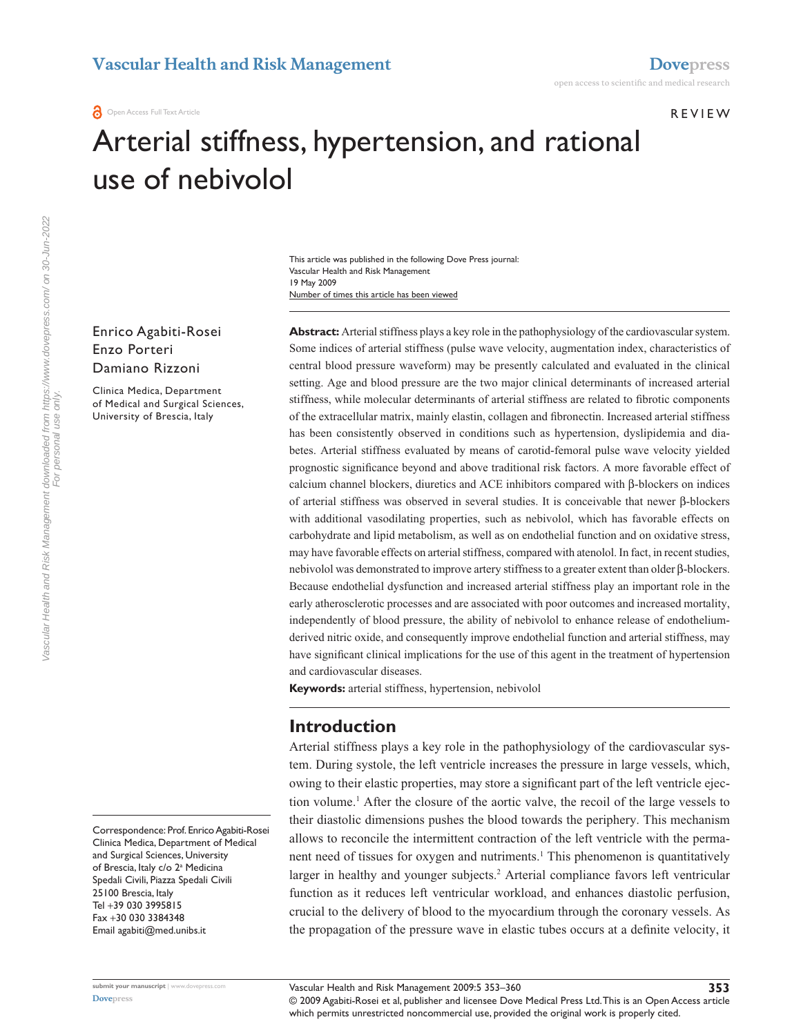r e v i e w

# Arterial stiffness, hypertension, and rational use of nebivolol

Number of times this article has been viewed This article was published in the following Dove Press journal: Vascular Health and Risk Management 19 May 2009

Enrico Agabiti-Rosei Enzo Porteri Damiano Rizzoni

Clinica Medica, Department of Medical and Surgical Sciences, University of Brescia, Italy

**Abstract:** Arterial stiffness plays a key role in the pathophysiology of the cardiovascular system. Some indices of arterial stiffness (pulse wave velocity, augmentation index, characteristics of central blood pressure waveform) may be presently calculated and evaluated in the clinical setting. Age and blood pressure are the two major clinical determinants of increased arterial stiffness, while molecular determinants of arterial stiffness are related to fibrotic components of the extracellular matrix, mainly elastin, collagen and fibronectin. Increased arterial stiffness has been consistently observed in conditions such as hypertension, dyslipidemia and diabetes. Arterial stiffness evaluated by means of carotid-femoral pulse wave velocity yielded prognostic significance beyond and above traditional risk factors. A more favorable effect of calcium channel blockers, diuretics and ACE inhibitors compared with β-blockers on indices of arterial stiffness was observed in several studies. It is conceivable that newer β-blockers with additional vasodilating properties, such as nebivolol, which has favorable effects on carbohydrate and lipid metabolism, as well as on endothelial function and on oxidative stress, may have favorable effects on arterial stiffness, compared with atenolol. In fact, in recent studies, nebivolol was demonstrated to improve artery stiffness to a greater extent than older β-blockers. Because endothelial dysfunction and increased arterial stiffness play an important role in the early atherosclerotic processes and are associated with poor outcomes and increased mortality, independently of blood pressure, the ability of nebivolol to enhance release of endotheliumderived nitric oxide, and consequently improve endothelial function and arterial stiffness, may have significant clinical implications for the use of this agent in the treatment of hypertension and cardiovascular diseases.

**Keywords:** arterial stiffness, hypertension, nebivolol

## **Introduction**

Arterial stiffness plays a key role in the pathophysiology of the cardiovascular system. During systole, the left ventricle increases the pressure in large vessels, which, owing to their elastic properties, may store a significant part of the left ventricle ejection volume.<sup>1</sup> After the closure of the aortic valve, the recoil of the large vessels to their diastolic dimensions pushes the blood towards the periphery. This mechanism allows to reconcile the intermittent contraction of the left ventricle with the permanent need of tissues for oxygen and nutriments.<sup>1</sup> This phenomenon is quantitatively larger in healthy and younger subjects.<sup>2</sup> Arterial compliance favors left ventricular function as it reduces left ventricular workload, and enhances diastolic perfusion, crucial to the delivery of blood to the myocardium through the coronary vessels. As the propagation of the pressure wave in elastic tubes occurs at a definite velocity, it

Correspondence: Prof. Enrico Agabiti-Rosei Clinica Medica, Department of Medical and Surgical Sciences, University of Brescia, Italy c/o 2ª Medicina Spedali Civili, Piazza Spedali Civili 25100 Brescia, Italy Tel +39 030 3995815 Fax +30 030 3384348 Email agabiti@med.unibs.it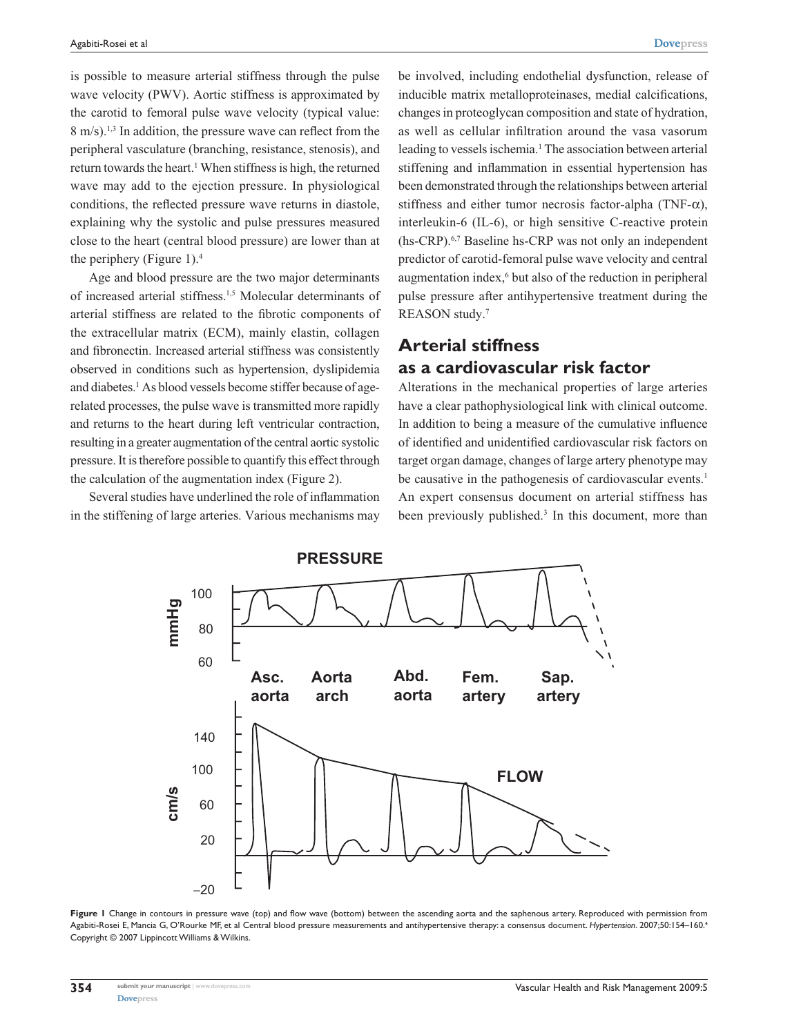is possible to measure arterial stiffness through the pulse wave velocity (PWV). Aortic stiffness is approximated by the carotid to femoral pulse wave velocity (typical value: 8 m/s).1,3 In addition, the pressure wave can reflect from the peripheral vasculature (branching, resistance, stenosis), and return towards the heart.<sup>1</sup> When stiffness is high, the returned wave may add to the ejection pressure. In physiological conditions, the reflected pressure wave returns in diastole, explaining why the systolic and pulse pressures measured close to the heart (central blood pressure) are lower than at the periphery (Figure 1).<sup>4</sup>

Age and blood pressure are the two major determinants of increased arterial stiffness.1,5 Molecular determinants of arterial stiffness are related to the fibrotic components of the extracellular matrix (ECM), mainly elastin, collagen and fibronectin. Increased arterial stiffness was consistently observed in conditions such as hypertension, dyslipidemia and diabetes.<sup>1</sup> As blood vessels become stiffer because of agerelated processes, the pulse wave is transmitted more rapidly and returns to the heart during left ventricular contraction, resulting in a greater augmentation of the central aortic systolic pressure. It is therefore possible to quantify this effect through the calculation of the augmentation index (Figure 2).

Several studies have underlined the role of inflammation in the stiffening of large arteries. Various mechanisms may be involved, including endothelial dysfunction, release of inducible matrix metalloproteinases, medial calcifications, changes in proteoglycan composition and state of hydration, as well as cellular infiltration around the vasa vasorum leading to vessels ischemia.<sup>1</sup> The association between arterial stiffening and inflammation in essential hypertension has been demonstrated through the relationships between arterial stiffness and either tumor necrosis factor-alpha (TNF- $\alpha$ ), interleukin-6 (IL-6), or high sensitive C-reactive protein (hs-CRP).6,7 Baseline hs-CRP was not only an independent predictor of carotid-femoral pulse wave velocity and central augmentation index,<sup>6</sup> but also of the reduction in peripheral pulse pressure after antihypertensive treatment during the REASON study.7

## **Arterial stiffness as a cardiovascular risk factor**

Alterations in the mechanical properties of large arteries have a clear pathophysiological link with clinical outcome. In addition to being a measure of the cumulative influence of identified and unidentified cardiovascular risk factors on target organ damage, changes of large artery phenotype may be causative in the pathogenesis of cardiovascular events.<sup>1</sup> An expert consensus document on arterial stiffness has been previously published.<sup>3</sup> In this document, more than



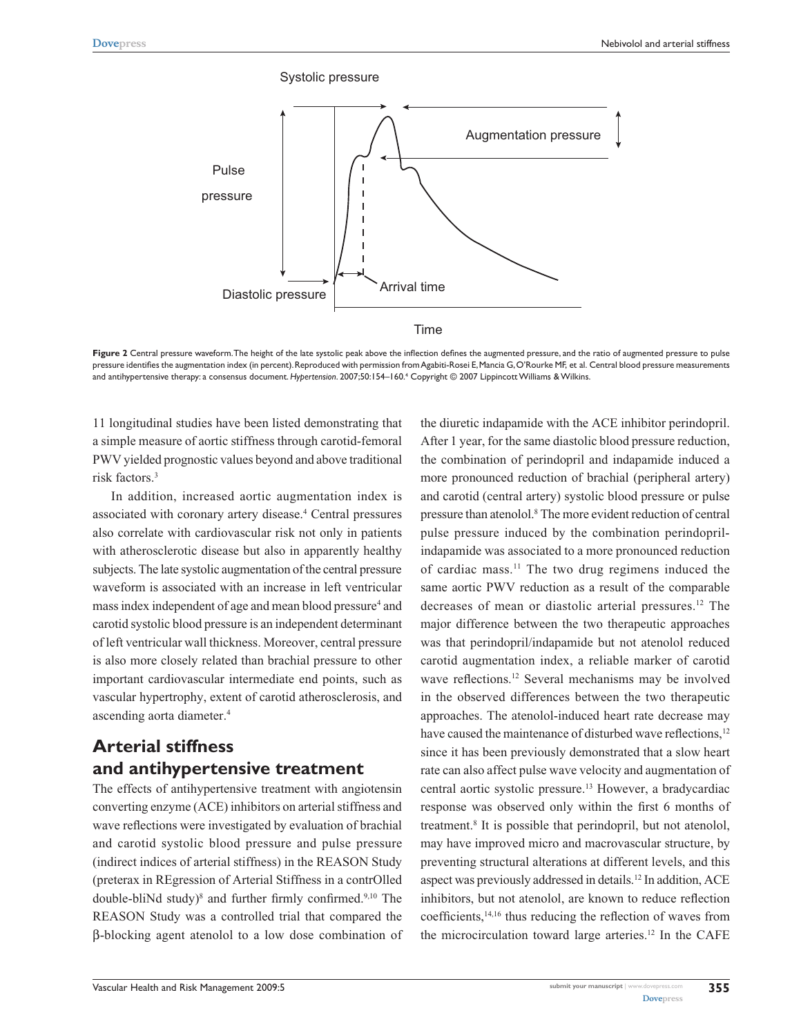

**Figure 2** Central pressure waveform. The height of the late systolic peak above the inflection defines the augmented pressure, and the ratio of augmented pressure to pulse pressure identifies the augmentation index (in percent). Reproduced with permission from Agabiti-Rosei E, Mancia G, O'Rourke MF, et al. Central blood pressure measurements and antihypertensive therapy: a consensus document. *Hypertension*. 2007;50:154–160.4 Copyright © 2007 Lippincott Williams & Wilkins.

11 longitudinal studies have been listed demonstrating that a simple measure of aortic stiffness through carotid-femoral PWV yielded prognostic values beyond and above traditional risk factors.3

In addition, increased aortic augmentation index is associated with coronary artery disease.<sup>4</sup> Central pressures also correlate with cardiovascular risk not only in patients with atherosclerotic disease but also in apparently healthy subjects. The late systolic augmentation of the central pressure waveform is associated with an increase in left ventricular mass index independent of age and mean blood pressure<sup>4</sup> and carotid systolic blood pressure is an independent determinant of left ventricular wall thickness. Moreover, central pressure is also more closely related than brachial pressure to other important cardiovascular intermediate end points, such as vascular hypertrophy, extent of carotid atherosclerosis, and ascending aorta diameter.4

# **Arterial stiffness and antihypertensive treatment**

The effects of antihypertensive treatment with angiotensin converting enzyme (ACE) inhibitors on arterial stiffness and wave reflections were investigated by evaluation of brachial and carotid systolic blood pressure and pulse pressure (indirect indices of arterial stiffness) in the REASON Study (preterax in REgression of Arterial Stiffness in a contrOlled double-bliNd study)<sup>8</sup> and further firmly confirmed.<sup>9,10</sup> The REASON Study was a controlled trial that compared the β-blocking agent atenolol to a low dose combination of

the diuretic indapamide with the ACE inhibitor perindopril. After 1 year, for the same diastolic blood pressure reduction, the combination of perindopril and indapamide induced a more pronounced reduction of brachial (peripheral artery) and carotid (central artery) systolic blood pressure or pulse pressure than atenolol.<sup>8</sup> The more evident reduction of central pulse pressure induced by the combination perindoprilindapamide was associated to a more pronounced reduction of cardiac mass.11 The two drug regimens induced the same aortic PWV reduction as a result of the comparable decreases of mean or diastolic arterial pressures.12 The major difference between the two therapeutic approaches was that perindopril/indapamide but not atenolol reduced carotid augmentation index, a reliable marker of carotid wave reflections.12 Several mechanisms may be involved in the observed differences between the two therapeutic approaches. The atenolol-induced heart rate decrease may have caused the maintenance of disturbed wave reflections,<sup>12</sup> since it has been previously demonstrated that a slow heart rate can also affect pulse wave velocity and augmentation of central aortic systolic pressure.13 However, a bradycardiac response was observed only within the first 6 months of treatment.<sup>8</sup> It is possible that perindopril, but not atenolol, may have improved micro and macrovascular structure, by preventing structural alterations at different levels, and this aspect was previously addressed in details.12 In addition, ACE inhibitors, but not atenolol, are known to reduce reflection coefficients,14,16 thus reducing the reflection of waves from the microcirculation toward large arteries.<sup>12</sup> In the CAFE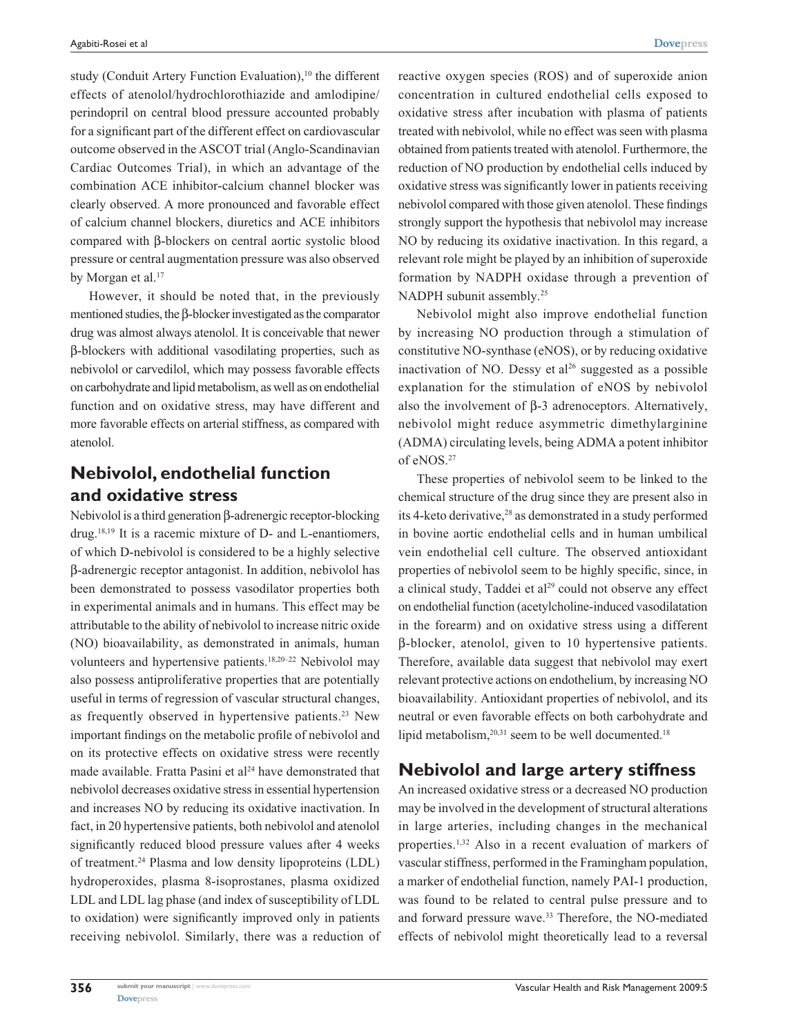study (Conduit Artery Function Evaluation),<sup>10</sup> the different effects of atenolol/hydrochlorothiazide and amlodipine/ perindopril on central blood pressure accounted probably for a significant part of the different effect on cardiovascular outcome observed in the ASCOT trial (Anglo-Scandinavian Cardiac Outcomes Trial), in which an advantage of the combination ACE inhibitor-calcium channel blocker was clearly observed. A more pronounced and favorable effect of calcium channel blockers, diuretics and ACE inhibitors compared with β-blockers on central aortic systolic blood pressure or central augmentation pressure was also observed by Morgan et al.<sup>17</sup>

However, it should be noted that, in the previously mentioned studies, the β-blocker investigated as the comparator drug was almost always atenolol. It is conceivable that newer β-blockers with additional vasodilating properties, such as nebivolol or carvedilol, which may possess favorable effects on carbohydrate and lipid metabolism, as well as on endothelial function and on oxidative stress, may have different and more favorable effects on arterial stiffness, as compared with atenolol.

## **Nebivolol, endothelial function and oxidative stress**

Nebivolol is a third generation β-adrenergic receptor-blocking drug.18,19 It is a racemic mixture of D- and L-enantiomers, of which D-nebivolol is considered to be a highly selective β-adrenergic receptor antagonist. In addition, nebivolol has been demonstrated to possess vasodilator properties both in experimental animals and in humans. This effect may be attributable to the ability of nebivolol to increase nitric oxide (NO) bioavailability, as demonstrated in animals, human volunteers and hypertensive patients.18,20–22 Nebivolol may also possess antiproliferative properties that are potentially useful in terms of regression of vascular structural changes, as frequently observed in hypertensive patients.<sup>23</sup> New important findings on the metabolic profile of nebivolol and on its protective effects on oxidative stress were recently made available. Fratta Pasini et al<sup>24</sup> have demonstrated that nebivolol decreases oxidative stress in essential hypertension and increases NO by reducing its oxidative inactivation. In fact, in 20 hypertensive patients, both nebivolol and atenolol significantly reduced blood pressure values after 4 weeks of treatment.24 Plasma and low density lipoproteins (LDL) hydroperoxides, plasma 8-isoprostanes, plasma oxidized LDL and LDL lag phase (and index of susceptibility of LDL to oxidation) were significantly improved only in patients receiving nebivolol. Similarly, there was a reduction of reactive oxygen species (ROS) and of superoxide anion concentration in cultured endothelial cells exposed to oxidative stress after incubation with plasma of patients treated with nebivolol, while no effect was seen with plasma obtained from patients treated with atenolol. Furthermore, the reduction of NO production by endothelial cells induced by oxidative stress was significantly lower in patients receiving nebivolol compared with those given atenolol. These findings strongly support the hypothesis that nebivolol may increase NO by reducing its oxidative inactivation. In this regard, a relevant role might be played by an inhibition of superoxide formation by NADPH oxidase through a prevention of NADPH subunit assembly.<sup>25</sup>

Nebivolol might also improve endothelial function by increasing NO production through a stimulation of constitutive NO-synthase (eNOS), or by reducing oxidative inactivation of NO. Dessy et  $al^{26}$  suggested as a possible explanation for the stimulation of eNOS by nebivolol also the involvement of β-3 adrenoceptors. Alternatively, nebivolol might reduce asymmetric dimethylarginine (ADMA) circulating levels, being ADMA a potent inhibitor of eNOS.27

These properties of nebivolol seem to be linked to the chemical structure of the drug since they are present also in its 4-keto derivative,<sup>28</sup> as demonstrated in a study performed in bovine aortic endothelial cells and in human umbilical vein endothelial cell culture. The observed antioxidant properties of nebivolol seem to be highly specific, since, in a clinical study, Taddei et al<sup>29</sup> could not observe any effect on endothelial function (acetylcholine-induced vasodilatation in the forearm) and on oxidative stress using a different β-blocker, atenolol, given to 10 hypertensive patients. Therefore, available data suggest that nebivolol may exert relevant protective actions on endothelium, by increasing NO bioavailability. Antioxidant properties of nebivolol, and its neutral or even favorable effects on both carbohydrate and lipid metabolism, $20,31$  seem to be well documented.<sup>18</sup>

## **Nebivolol and large artery stiffness**

An increased oxidative stress or a decreased NO production may be involved in the development of structural alterations in large arteries, including changes in the mechanical properties.1,32 Also in a recent evaluation of markers of vascular stiffness, performed in the Framingham population, a marker of endothelial function, namely PAI-1 production, was found to be related to central pulse pressure and to and forward pressure wave.<sup>33</sup> Therefore, the NO-mediated effects of nebivolol might theoretically lead to a reversal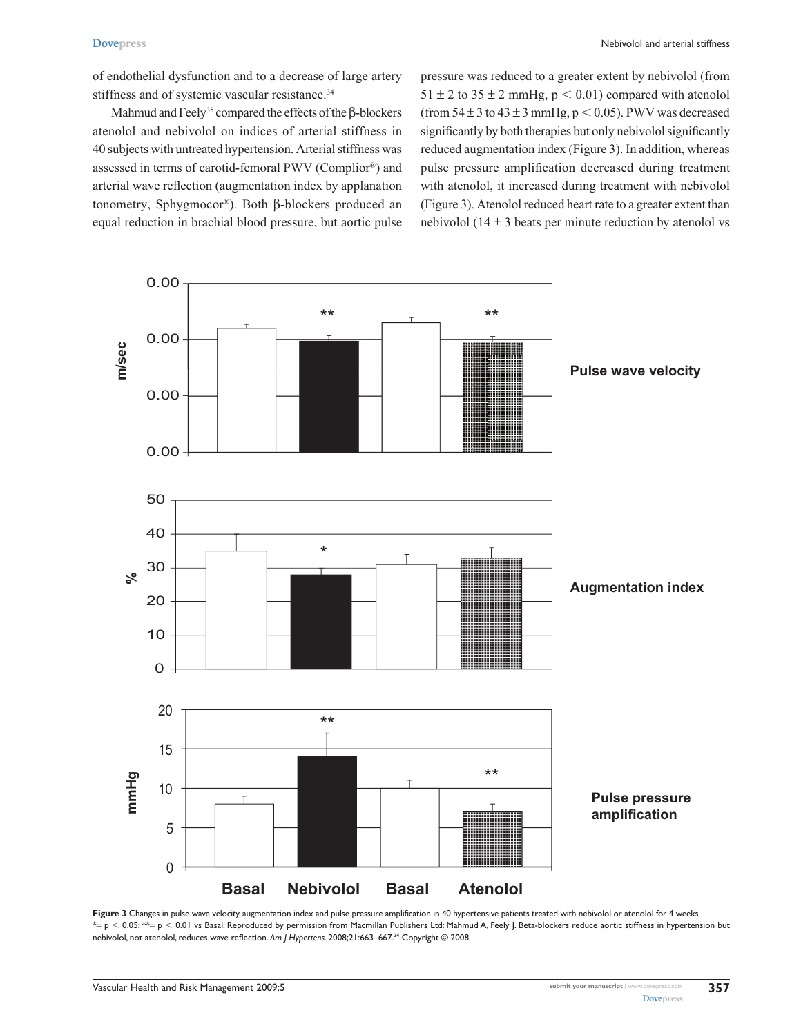of endothelial dysfunction and to a decrease of large artery stiffness and of systemic vascular resistance.<sup>34</sup>

Mahmud and Feely<sup>35</sup> compared the effects of the β-blockers atenolol and nebivolol on indices of arterial stiffness in 40 subjects with untreated hypertension. Arterial stiffness was assessed in terms of carotid-femoral PWV (Complior®) and arterial wave reflection (augmentation index by applanation tonometry, Sphygmocor®). Both β-blockers produced an equal reduction in brachial blood pressure, but aortic pulse pressure was reduced to a greater extent by nebivolol (from  $51 \pm 2$  to  $35 \pm 2$  mmHg,  $p < 0.01$ ) compared with atenolol (from  $54 \pm 3$  to  $43 \pm 3$  mmHg,  $p < 0.05$ ). PWV was decreased significantly by both therapies but only nebivolol significantly reduced augmentation index (Figure 3). In addition, whereas pulse pressure amplification decreased during treatment with atenolol, it increased during treatment with nebivolol (Figure 3). Atenolol reduced heart rate to a greater extent than nebivolol (14  $\pm$  3 beats per minute reduction by atenolol vs



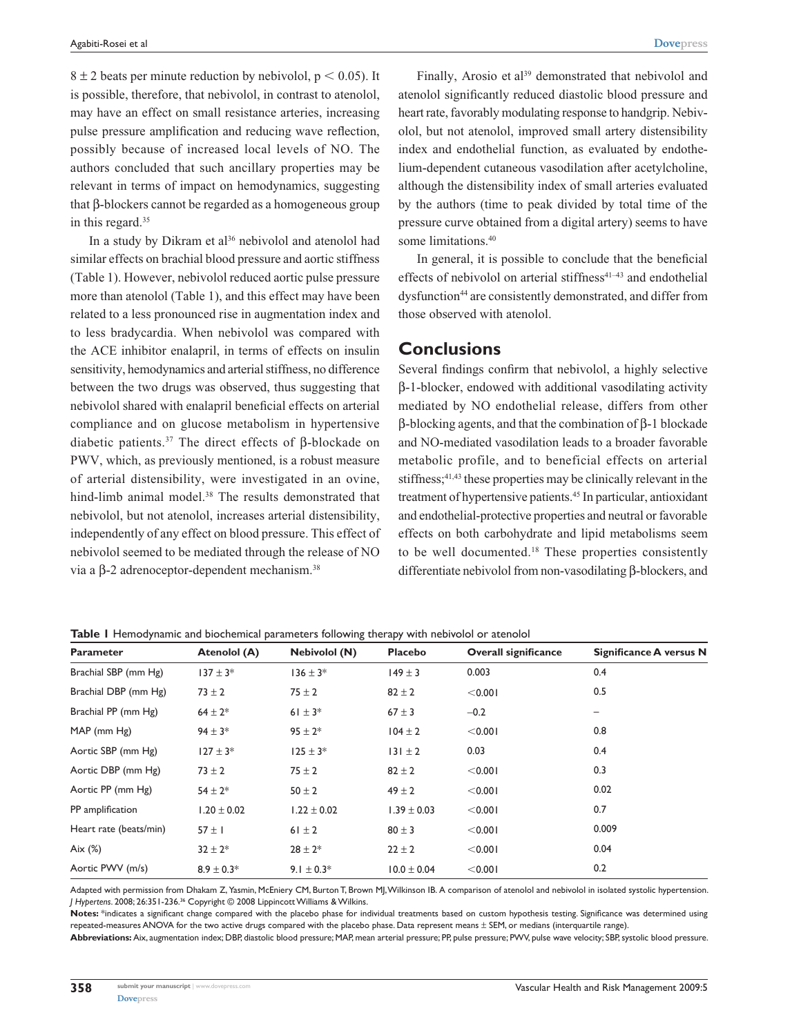$8 \pm 2$  beats per minute reduction by nebivolol,  $p < 0.05$ ). It is possible, therefore, that nebivolol, in contrast to atenolol, may have an effect on small resistance arteries, increasing pulse pressure amplification and reducing wave reflection, possibly because of increased local levels of NO. The authors concluded that such ancillary properties may be relevant in terms of impact on hemodynamics, suggesting that β-blockers cannot be regarded as a homogeneous group in this regard.<sup>35</sup>

In a study by Dikram et al<sup>36</sup> nebivolol and atenolol had similar effects on brachial blood pressure and aortic stiffness (Table 1). However, nebivolol reduced aortic pulse pressure more than atenolol (Table 1), and this effect may have been related to a less pronounced rise in augmentation index and to less bradycardia. When nebivolol was compared with the ACE inhibitor enalapril, in terms of effects on insulin sensitivity, hemodynamics and arterial stiffness, no difference between the two drugs was observed, thus suggesting that nebivolol shared with enalapril beneficial effects on arterial compliance and on glucose metabolism in hypertensive diabetic patients.<sup>37</sup> The direct effects of β-blockade on PWV, which, as previously mentioned, is a robust measure of arterial distensibility, were investigated in an ovine, hind-limb animal model.<sup>38</sup> The results demonstrated that nebivolol, but not atenolol, increases arterial distensibility, independently of any effect on blood pressure. This effect of nebivolol seemed to be mediated through the release of NO via a β-2 adrenoceptor-dependent mechanism.38

Finally, Arosio et al<sup>39</sup> demonstrated that nebivolol and atenolol significantly reduced diastolic blood pressure and heart rate, favorably modulating response to handgrip. Nebivolol, but not atenolol, improved small artery distensibility index and endothelial function, as evaluated by endothelium-dependent cutaneous vasodilation after acetylcholine, although the distensibility index of small arteries evaluated by the authors (time to peak divided by total time of the pressure curve obtained from a digital artery) seems to have some limitations.<sup>40</sup>

In general, it is possible to conclude that the beneficial effects of nebivolol on arterial stiffness $41-43$  and endothelial dysfunction<sup>44</sup> are consistently demonstrated, and differ from those observed with atenolol.

## **Conclusions**

Several findings confirm that nebivolol, a highly selective β-1-blocker, endowed with additional vasodilating activity mediated by NO endothelial release, differs from other β-blocking agents, and that the combination of β-1 blockade and NO-mediated vasodilation leads to a broader favorable metabolic profile, and to beneficial effects on arterial stiffness;<sup>41,43</sup> these properties may be clinically relevant in the treatment of hypertensive patients.45 In particular, antioxidant and endothelial-protective properties and neutral or favorable effects on both carbohydrate and lipid metabolisms seem to be well documented.<sup>18</sup> These properties consistently differentiate nebivolol from non-vasodilating β-blockers, and

| <b>Parameter</b>       | Atenolol (A)    | <b>Nebivolol (N)</b> | <b>Placebo</b>  | <b>Overall significance</b> | Significance A versus N |
|------------------------|-----------------|----------------------|-----------------|-----------------------------|-------------------------|
| Brachial SBP (mm Hg)   | $137 \pm 3*$    | $136 \pm 3*$         | $149 \pm 3$     | 0.003                       | 0.4                     |
| Brachial DBP (mm Hg)   | $73 \pm 2$      | $75 \pm 2$           | $82 \pm 2$      | < 0.001                     | 0.5                     |
| Brachial PP (mm Hg)    | $64 \pm 2*$     | 61 $\pm$ 3*          | $67 \pm 3$      | $-0.2$                      | -                       |
| MAP (mm Hg)            | $94 \pm 3*$     | $95 \pm 2*$          | $104 \pm 2$     | < 0.001                     | 0.8                     |
| Aortic SBP (mm Hg)     | $127 \pm 3*$    | $125 \pm 3*$         | $ 31 \pm 2$     | 0.03                        | 0.4                     |
| Aortic DBP (mm Hg)     | $73 \pm 2$      | $75 \pm 2$           | $82 \pm 2$      | < 0.001                     | 0.3                     |
| Aortic PP (mm Hg)      | $54 \pm 2*$     | $50 \pm 2$           | $49 \pm 2$      | < 0.001                     | 0.02                    |
| PP amplification       | $1.20 \pm 0.02$ | $1.22 \pm 0.02$      | $1.39 \pm 0.03$ | < 0.001                     | 0.7                     |
| Heart rate (beats/min) | $57 \pm 1$      | $61 \pm 2$           | $80 \pm 3$      | < 0.001                     | 0.009                   |
| Aix $(\%)$             | $32 \pm 2*$     | $28 \pm 2*$          | $22 \pm 2$      | < 0.001                     | 0.04                    |
| Aortic PWV (m/s)       | $8.9 \pm 0.3*$  | 9.1 $\pm$ 0.3*       | $10.0 \pm 0.04$ | < 0.001                     | 0.2                     |

**Table 1** Hemodynamic and biochemical parameters following therapy with nebivolol or atenolol

Adapted with permission from Dhakam Z, Yasmin, McEniery CM, Burton T, Brown MJ, Wilkinson IB. A comparison of atenolol and nebivolol in isolated systolic hypertension. *J Hypertens*. 2008; 26:351-236.36 Copyright © 2008 Lippincott Williams & Wilkins.

Notes: \*indicates a significant change compared with the placebo phase for individual treatments based on custom hypothesis testing. Significance was determined using repeated-measures ANOVA for the two active drugs compared with the placebo phase. Data represent means ± SEM, or medians (interquartile range). Abbreviations: Aix, augmentation index; DBP, diastolic blood pressure; MAP, mean arterial pressure; PP, pulse pressure; PWV, pulse wave velocity; SBP, systolic blood pressure.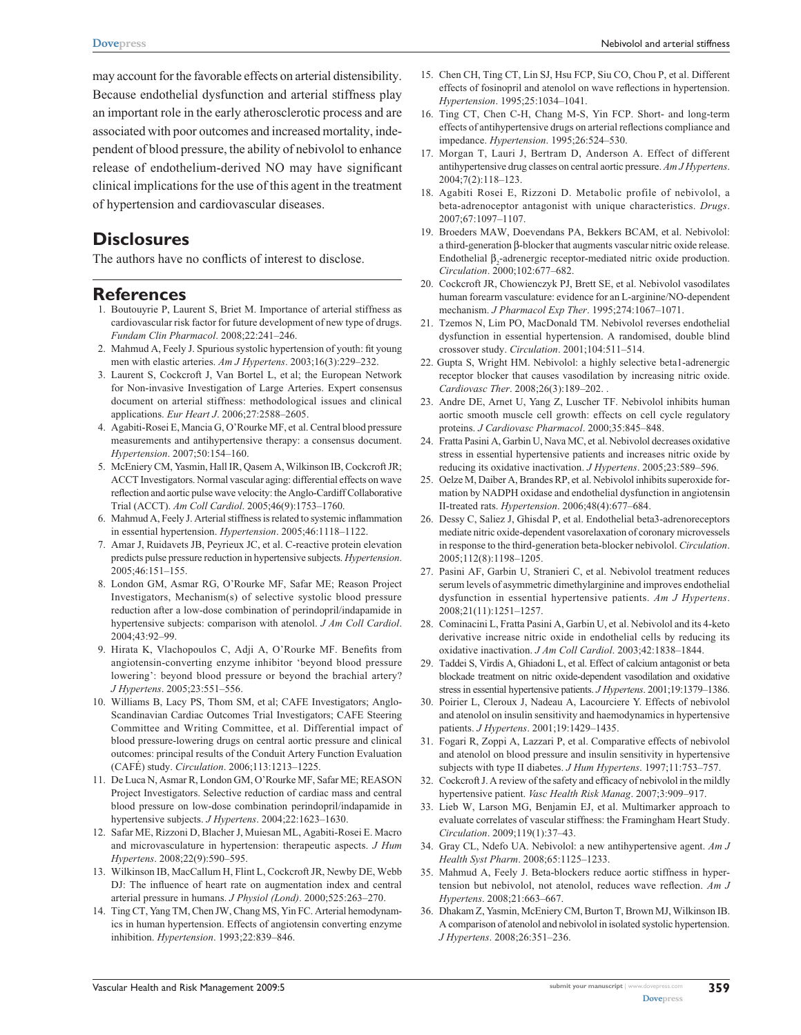**[Dovepress](www.dovepress.com)** Nebivolol and arterial stiffness

may account for the favorable effects on arterial distensibility. Because endothelial dysfunction and arterial stiffness play an important role in the early atherosclerotic process and are associated with poor outcomes and increased mortality, independent of blood pressure, the ability of nebivolol to enhance release of endothelium-derived NO may have significant clinical implications for the use of this agent in the treatment of hypertension and cardiovascular diseases.

## **Disclosures**

The authors have no conflicts of interest to disclose.

## **References**

- 1. Boutouyrie P, Laurent S, Briet M. Importance of arterial stiffness as cardiovascular risk factor for future development of new type of drugs. *Fundam Clin Pharmacol*. 2008;22:241–246.
- 2. Mahmud A, Feely J. Spurious systolic hypertension of youth: fit young men with elastic arteries. *Am J Hypertens*. 2003;16(3):229–232.
- 3. Laurent S, Cockcroft J, Van Bortel L, et al; the European Network for Non-invasive Investigation of Large Arteries. Expert consensus document on arterial stiffness: methodological issues and clinical applications. *Eur Heart J*. 2006;27:2588–2605.
- 4. Agabiti-Rosei E, Mancia G, O'Rourke MF, et al. Central blood pressure measurements and antihypertensive therapy: a consensus document. *Hypertension*. 2007;50:154–160.
- 5. McEniery CM, Yasmin, Hall IR, Qasem A, Wilkinson IB, Cockcroft JR; ACCT Investigators. Normal vascular aging: differential effects on wave reflection and aortic pulse wave velocity: the Anglo-Cardiff Collaborative Trial (ACCT). *Am Coll Cardiol*. 2005;46(9):1753–1760.
- 6. Mahmud A, Feely J. Arterial stiffness is related to systemic inflammation in essential hypertension. *Hypertension*. 2005;46:1118–1122.
- 7. Amar J, Ruidavets JB, Peyrieux JC, et al. C-reactive protein elevation predicts pulse pressure reduction in hypertensive subjects. *Hypertension*. 2005;46:151–155.
- 8. London GM, Asmar RG, O'Rourke MF, Safar ME; Reason Project Investigators, Mechanism(s) of selective systolic blood pressure reduction after a low-dose combination of perindopril/indapamide in hypertensive subjects: comparison with atenolol. *J Am Coll Cardiol*. 2004;43:92–99.
- 9. Hirata K, Vlachopoulos C, Adji A, O'Rourke MF. Benefits from angiotensin-converting enzyme inhibitor 'beyond blood pressure lowering': beyond blood pressure or beyond the brachial artery? *J Hypertens*. 2005;23:551–556.
- 10. Williams B, Lacy PS, Thom SM, et al; CAFE Investigators; Anglo-Scandinavian Cardiac Outcomes Trial Investigators; CAFE Steering Committee and Writing Committee, et al. Differential impact of blood pressure-lowering drugs on central aortic pressure and clinical outcomes: principal results of the Conduit Artery Function Evaluation (CAFÉ) study. *Circulation*. 2006;113:1213–1225.
- 11. De Luca N, Asmar R, London GM, O'Rourke MF, Safar ME; REASON Project Investigators. Selective reduction of cardiac mass and central blood pressure on low-dose combination perindopril/indapamide in hypertensive subjects. *J Hypertens*. 2004;22:1623–1630.
- 12. Safar ME, Rizzoni D, Blacher J, Muiesan ML, Agabiti-Rosei E. Macro and microvasculature in hypertension: therapeutic aspects. *J Hum Hypertens*. 2008;22(9):590–595.
- 13. Wilkinson IB, MacCallum H, Flint L, Cockcroft JR, Newby DE, Webb DJ: The influence of heart rate on augmentation index and central arterial pressure in humans. *J Physiol (Lond)*. 2000;525:263–270.
- 14. Ting CT, Yang TM, Chen JW, Chang MS, Yin FC. Arterial hemodynamics in human hypertension. Effects of angiotensin converting enzyme inhibition. *Hypertension*. 1993;22:839–846.
- 15. Chen CH, Ting CT, Lin SJ, Hsu FCP, Siu CO, Chou P, et al. Different effects of fosinopril and atenolol on wave reflections in hypertension. *Hypertension*. 1995;25:1034–1041.
- 16. Ting CT, Chen C-H, Chang M-S, Yin FCP. Short- and long-term effects of antihypertensive drugs on arterial reflections compliance and impedance. *Hypertension*. 1995;26:524–530.
- 17. Morgan T, Lauri J, Bertram D, Anderson A. Effect of different antihypertensive drug classes on central aortic pressure. *Am J Hypertens*. 2004;7(2):118–123.
- 18. Agabiti Rosei E, Rizzoni D. Metabolic profile of nebivolol, a beta-adrenoceptor antagonist with unique characteristics. *Drugs*. 2007;67:1097–1107.
- 19. Broeders MAW, Doevendans PA, Bekkers BCAM, et al. Nebivolol: a third-generation β-blocker that augments vascular nitric oxide release. Endothelial  $\beta_2$ -adrenergic receptor-mediated nitric oxide production. *Circulation*. 2000;102:677–682.
- 20. Cockcroft JR, Chowienczyk PJ, Brett SE, et al. Nebivolol vasodilates human forearm vasculature: evidence for an L-arginine/NO-dependent mechanism. *J Pharmacol Exp Ther*. 1995;274:1067–1071.
- 21. Tzemos N, Lim PO, MacDonald TM. Nebivolol reverses endothelial dysfunction in essential hypertension. A randomised, double blind crossover study. *Circulation*. 2001;104:511–514.
- 22. Gupta S, Wright HM. Nebivolol: a highly selective beta1-adrenergic receptor blocker that causes vasodilation by increasing nitric oxide. *Cardiovasc Ther*. 2008;26(3):189–202. .
- 23. Andre DE, Arnet U, Yang Z, Luscher TF. Nebivolol inhibits human aortic smooth muscle cell growth: effects on cell cycle regulatory proteins. *J Cardiovasc Pharmacol*. 2000;35:845–848.
- 24. Fratta Pasini A, Garbin U, Nava MC, et al. Nebivolol decreases oxidative stress in essential hypertensive patients and increases nitric oxide by reducing its oxidative inactivation. *J Hypertens*. 2005;23:589–596.
- 25. Oelze M, Daiber A, Brandes RP, et al. Nebivolol inhibits superoxide formation by NADPH oxidase and endothelial dysfunction in angiotensin II-treated rats. *Hypertension*. 2006;48(4):677–684.
- 26. Dessy C, Saliez J, Ghisdal P, et al. Endothelial beta3-adrenoreceptors mediate nitric oxide-dependent vasorelaxation of coronary microvessels in response to the third-generation beta-blocker nebivolol. *Circulation*. 2005;112(8):1198–1205.
- 27. Pasini AF, Garbin U, Stranieri C, et al. Nebivolol treatment reduces serum levels of asymmetric dimethylarginine and improves endothelial dysfunction in essential hypertensive patients. *Am J Hypertens*. 2008;21(11):1251–1257.
- 28. Cominacini L, Fratta Pasini A, Garbin U, et al. Nebivolol and its 4-keto derivative increase nitric oxide in endothelial cells by reducing its oxidative inactivation. *J Am Coll Cardiol*. 2003;42:1838–1844.
- 29. Taddei S, Virdis A, Ghiadoni L, et al. Effect of calcium antagonist or beta blockade treatment on nitric oxide-dependent vasodilation and oxidative stress in essential hypertensive patients. *J Hypertens*. 2001;19:1379–1386.
- 30. Poirier L, Cleroux J, Nadeau A, Lacourciere Y. Effects of nebivolol and atenolol on insulin sensitivity and haemodynamics in hypertensive patients. *J Hypertens*. 2001;19:1429–1435.
- 31. Fogari R, Zoppi A, Lazzari P, et al. Comparative effects of nebivolol and atenolol on blood pressure and insulin sensitivity in hypertensive subjects with type II diabetes. *J Hum Hypertens*. 1997;11:753–757.
- 32. Cockcroft J. A review of the safety and efficacy of nebivolol in the mildly hypertensive patient. *Vasc Health Risk Manag*. 2007;3:909–917.
- 33. Lieb W, Larson MG, Benjamin EJ, et al. Multimarker approach to evaluate correlates of vascular stiffness: the Framingham Heart Study. *Circulation*. 2009;119(1):37–43.
- 34. Gray CL, Ndefo UA. Nebivolol: a new antihypertensive agent. *Am J Health Syst Pharm*. 2008;65:1125–1233.
- 35. Mahmud A, Feely J. Beta-blockers reduce aortic stiffness in hypertension but nebivolol, not atenolol, reduces wave reflection. *Am J Hypertens*. 2008;21:663–667.
- 36. Dhakam Z, Yasmin, McEniery CM, Burton T, Brown MJ, Wilkinson IB. A comparison of atenolol and nebivolol in isolated systolic hypertension. *J Hypertens*. 2008;26:351–236.